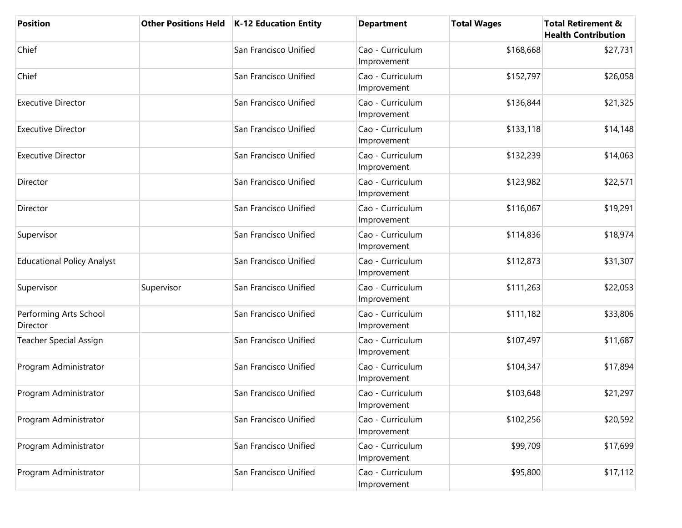| <b>Position</b>                    | <b>Other Positions Held</b> | K-12 Education Entity | <b>Department</b>               | <b>Total Wages</b> | <b>Total Retirement &amp;</b><br><b>Health Contribution</b> |
|------------------------------------|-----------------------------|-----------------------|---------------------------------|--------------------|-------------------------------------------------------------|
| Chief                              |                             | San Francisco Unified | Cao - Curriculum<br>Improvement | \$168,668          | \$27,731                                                    |
| Chief                              |                             | San Francisco Unified | Cao - Curriculum<br>Improvement | \$152,797          | \$26,058                                                    |
| <b>Executive Director</b>          |                             | San Francisco Unified | Cao - Curriculum<br>Improvement | \$136,844          | \$21,325                                                    |
| <b>Executive Director</b>          |                             | San Francisco Unified | Cao - Curriculum<br>Improvement | \$133,118          | \$14,148                                                    |
| <b>Executive Director</b>          |                             | San Francisco Unified | Cao - Curriculum<br>Improvement | \$132,239          | \$14,063                                                    |
| Director                           |                             | San Francisco Unified | Cao - Curriculum<br>Improvement | \$123,982          | \$22,571                                                    |
| Director                           |                             | San Francisco Unified | Cao - Curriculum<br>Improvement | \$116,067          | \$19,291                                                    |
| Supervisor                         |                             | San Francisco Unified | Cao - Curriculum<br>Improvement | \$114,836          | \$18,974                                                    |
| <b>Educational Policy Analyst</b>  |                             | San Francisco Unified | Cao - Curriculum<br>Improvement | \$112,873          | \$31,307                                                    |
| Supervisor                         | Supervisor                  | San Francisco Unified | Cao - Curriculum<br>Improvement | \$111,263          | \$22,053                                                    |
| Performing Arts School<br>Director |                             | San Francisco Unified | Cao - Curriculum<br>Improvement | \$111,182          | \$33,806                                                    |
| <b>Teacher Special Assign</b>      |                             | San Francisco Unified | Cao - Curriculum<br>Improvement | \$107,497          | \$11,687                                                    |
| Program Administrator              |                             | San Francisco Unified | Cao - Curriculum<br>Improvement | \$104,347          | \$17,894                                                    |
| Program Administrator              |                             | San Francisco Unified | Cao - Curriculum<br>Improvement | \$103,648          | \$21,297                                                    |
| Program Administrator              |                             | San Francisco Unified | Cao - Curriculum<br>Improvement | \$102,256          | \$20,592                                                    |
| Program Administrator              |                             | San Francisco Unified | Cao - Curriculum<br>Improvement | \$99,709           | \$17,699                                                    |
| Program Administrator              |                             | San Francisco Unified | Cao - Curriculum<br>Improvement | \$95,800           | \$17,112                                                    |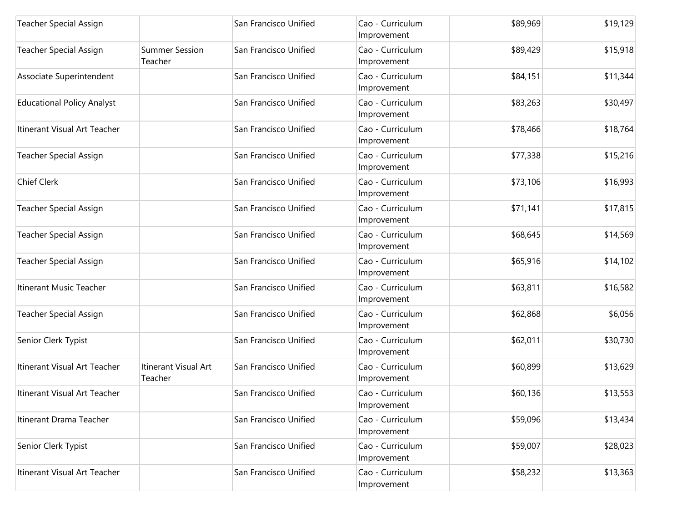| <b>Teacher Special Assign</b>     |                                  | San Francisco Unified | Cao - Curriculum<br>Improvement | \$89,969 | \$19,129 |
|-----------------------------------|----------------------------------|-----------------------|---------------------------------|----------|----------|
| <b>Teacher Special Assign</b>     | <b>Summer Session</b><br>Teacher | San Francisco Unified | Cao - Curriculum<br>Improvement | \$89,429 | \$15,918 |
| Associate Superintendent          |                                  | San Francisco Unified | Cao - Curriculum<br>Improvement | \$84,151 | \$11,344 |
| <b>Educational Policy Analyst</b> |                                  | San Francisco Unified | Cao - Curriculum<br>Improvement | \$83,263 | \$30,497 |
| Itinerant Visual Art Teacher      |                                  | San Francisco Unified | Cao - Curriculum<br>Improvement | \$78,466 | \$18,764 |
| <b>Teacher Special Assign</b>     |                                  | San Francisco Unified | Cao - Curriculum<br>Improvement | \$77,338 | \$15,216 |
| <b>Chief Clerk</b>                |                                  | San Francisco Unified | Cao - Curriculum<br>Improvement | \$73,106 | \$16,993 |
| <b>Teacher Special Assign</b>     |                                  | San Francisco Unified | Cao - Curriculum<br>Improvement | \$71,141 | \$17,815 |
| <b>Teacher Special Assign</b>     |                                  | San Francisco Unified | Cao - Curriculum<br>Improvement | \$68,645 | \$14,569 |
| <b>Teacher Special Assign</b>     |                                  | San Francisco Unified | Cao - Curriculum<br>Improvement | \$65,916 | \$14,102 |
| Itinerant Music Teacher           |                                  | San Francisco Unified | Cao - Curriculum<br>Improvement | \$63,811 | \$16,582 |
| <b>Teacher Special Assign</b>     |                                  | San Francisco Unified | Cao - Curriculum<br>Improvement | \$62,868 | \$6,056  |
| Senior Clerk Typist               |                                  | San Francisco Unified | Cao - Curriculum<br>Improvement | \$62,011 | \$30,730 |
| Itinerant Visual Art Teacher      | Itinerant Visual Art<br>Teacher  | San Francisco Unified | Cao - Curriculum<br>Improvement | \$60,899 | \$13,629 |
| Itinerant Visual Art Teacher      |                                  | San Francisco Unified | Cao - Curriculum<br>Improvement | \$60,136 | \$13,553 |
| Itinerant Drama Teacher           |                                  | San Francisco Unified | Cao - Curriculum<br>Improvement | \$59,096 | \$13,434 |
| Senior Clerk Typist               |                                  | San Francisco Unified | Cao - Curriculum<br>Improvement | \$59,007 | \$28,023 |
| Itinerant Visual Art Teacher      |                                  | San Francisco Unified | Cao - Curriculum<br>Improvement | \$58,232 | \$13,363 |